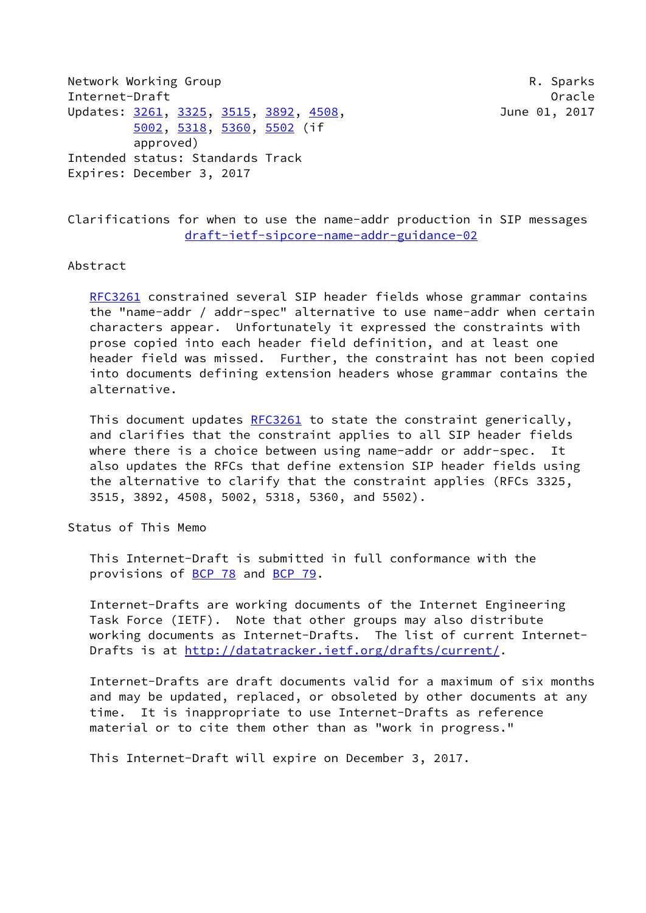Network Working Group **R. Sparks** Internet-Draft Oracle Updates: [3261](https://datatracker.ietf.org/doc/pdf/rfc3261), [3325,](https://datatracker.ietf.org/doc/pdf/rfc3325) [3515](https://datatracker.ietf.org/doc/pdf/rfc3515), [3892](https://datatracker.ietf.org/doc/pdf/rfc3892), [4508](https://datatracker.ietf.org/doc/pdf/rfc4508), 3893, 398, June 01, 2017 [5002](https://datatracker.ietf.org/doc/pdf/rfc5002), [5318,](https://datatracker.ietf.org/doc/pdf/rfc5318) [5360](https://datatracker.ietf.org/doc/pdf/rfc5360), [5502](https://datatracker.ietf.org/doc/pdf/rfc5502) (if approved) Intended status: Standards Track Expires: December 3, 2017

Clarifications for when to use the name-addr production in SIP messages [draft-ietf-sipcore-name-addr-guidance-02](https://datatracker.ietf.org/doc/pdf/draft-ietf-sipcore-name-addr-guidance-02)

### Abstract

[RFC3261](https://datatracker.ietf.org/doc/pdf/rfc3261) constrained several SIP header fields whose grammar contains the "name-addr / addr-spec" alternative to use name-addr when certain characters appear. Unfortunately it expressed the constraints with prose copied into each header field definition, and at least one header field was missed. Further, the constraint has not been copied into documents defining extension headers whose grammar contains the alternative.

This document updates [RFC3261](https://datatracker.ietf.org/doc/pdf/rfc3261) to state the constraint generically, and clarifies that the constraint applies to all SIP header fields where there is a choice between using name-addr or addr-spec. It also updates the RFCs that define extension SIP header fields using the alternative to clarify that the constraint applies (RFCs 3325, 3515, 3892, 4508, 5002, 5318, 5360, and 5502).

Status of This Memo

 This Internet-Draft is submitted in full conformance with the provisions of [BCP 78](https://datatracker.ietf.org/doc/pdf/bcp78) and [BCP 79](https://datatracker.ietf.org/doc/pdf/bcp79).

 Internet-Drafts are working documents of the Internet Engineering Task Force (IETF). Note that other groups may also distribute working documents as Internet-Drafts. The list of current Internet- Drafts is at<http://datatracker.ietf.org/drafts/current/>.

 Internet-Drafts are draft documents valid for a maximum of six months and may be updated, replaced, or obsoleted by other documents at any time. It is inappropriate to use Internet-Drafts as reference material or to cite them other than as "work in progress."

This Internet-Draft will expire on December 3, 2017.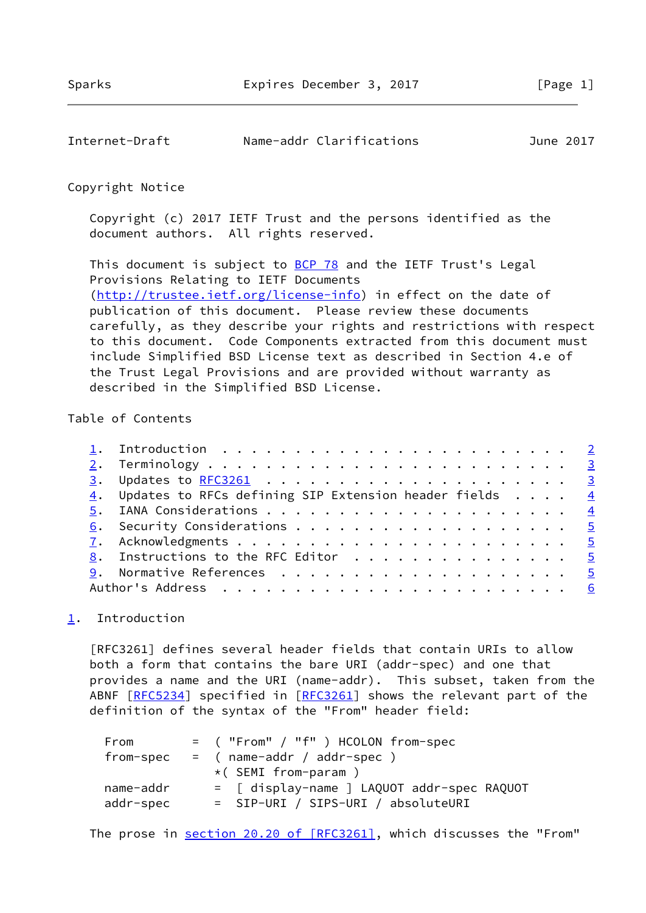<span id="page-1-1"></span>

| Internet-Draft | Name-addr Clarifications | June 2017 |
|----------------|--------------------------|-----------|
|                |                          |           |

## Copyright Notice

 Copyright (c) 2017 IETF Trust and the persons identified as the document authors. All rights reserved.

This document is subject to **[BCP 78](https://datatracker.ietf.org/doc/pdf/bcp78)** and the IETF Trust's Legal Provisions Relating to IETF Documents [\(http://trustee.ietf.org/license-info](http://trustee.ietf.org/license-info)) in effect on the date of publication of this document. Please review these documents carefully, as they describe your rights and restrictions with respect to this document. Code Components extracted from this document must include Simplified BSD License text as described in Section 4.e of the Trust Legal Provisions and are provided without warranty as described in the Simplified BSD License.

# Table of Contents

|  | 4. Updates to RFCs defining SIP Extension header fields 4 |  |
|--|-----------------------------------------------------------|--|
|  |                                                           |  |
|  |                                                           |  |
|  |                                                           |  |
|  | 8. Instructions to the RFC Editor 5                       |  |
|  |                                                           |  |
|  |                                                           |  |

## <span id="page-1-0"></span>[1](#page-1-0). Introduction

 [RFC3261] defines several header fields that contain URIs to allow both a form that contains the bare URI (addr-spec) and one that provides a name and the URI (name-addr). This subset, taken from the ABNF [\[RFC5234](https://datatracker.ietf.org/doc/pdf/rfc5234)] specified in [\[RFC3261](https://datatracker.ietf.org/doc/pdf/rfc3261)] shows the relevant part of the definition of the syntax of the "From" header field:

| From      | $=$ ("From" / "f") HCOLON from-spec        |
|-----------|--------------------------------------------|
|           | $from-spec = (name-addr / addr-spec)$      |
|           | $\star$ (SEMI from-param )                 |
| name-addr | = [ display-name ] LAQUOT addr-spec RAQUOT |
| addr-spec | = SIP-URI / SIPS-URI / absoluteURI         |

The prose in section [20.20 of \[RFC3261\],](https://datatracker.ietf.org/doc/pdf/rfc3261#section-20.20) which discusses the "From"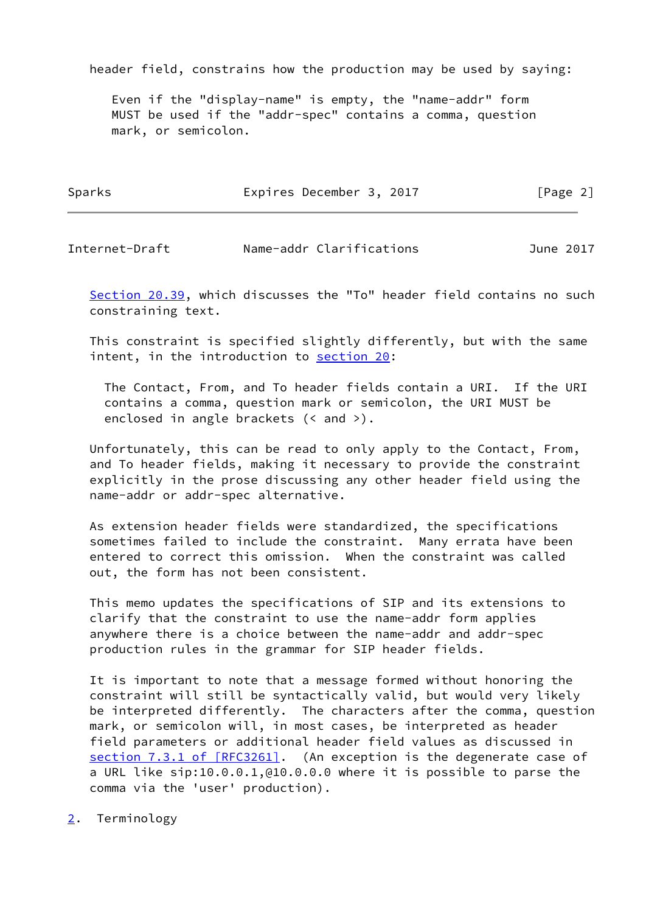header field, constrains how the production may be used by saying:

 Even if the "display-name" is empty, the "name-addr" form MUST be used if the "addr-spec" contains a comma, question mark, or semicolon.

| Sparks | Expires December 3, 2017 | [Page 2] |
|--------|--------------------------|----------|
|        |                          |          |

<span id="page-2-1"></span>Internet-Draft Name-addr Clarifications June 2017

Section 20.39, which discusses the "To" header field contains no such constraining text.

 This constraint is specified slightly differently, but with the same intent, in the introduction to section 20:

 The Contact, From, and To header fields contain a URI. If the URI contains a comma, question mark or semicolon, the URI MUST be enclosed in angle brackets (< and >).

 Unfortunately, this can be read to only apply to the Contact, From, and To header fields, making it necessary to provide the constraint explicitly in the prose discussing any other header field using the name-addr or addr-spec alternative.

 As extension header fields were standardized, the specifications sometimes failed to include the constraint. Many errata have been entered to correct this omission. When the constraint was called out, the form has not been consistent.

 This memo updates the specifications of SIP and its extensions to clarify that the constraint to use the name-addr form applies anywhere there is a choice between the name-addr and addr-spec production rules in the grammar for SIP header fields.

 It is important to note that a message formed without honoring the constraint will still be syntactically valid, but would very likely be interpreted differently. The characters after the comma, question mark, or semicolon will, in most cases, be interpreted as header field parameters or additional header field values as discussed in section [7.3.1 of \[RFC3261\]](https://datatracker.ietf.org/doc/pdf/rfc3261#section-7.3.1). (An exception is the degenerate case of a URL like sip:10.0.0.1,@10.0.0.0 where it is possible to parse the comma via the 'user' production).

<span id="page-2-0"></span>[2](#page-2-0). Terminology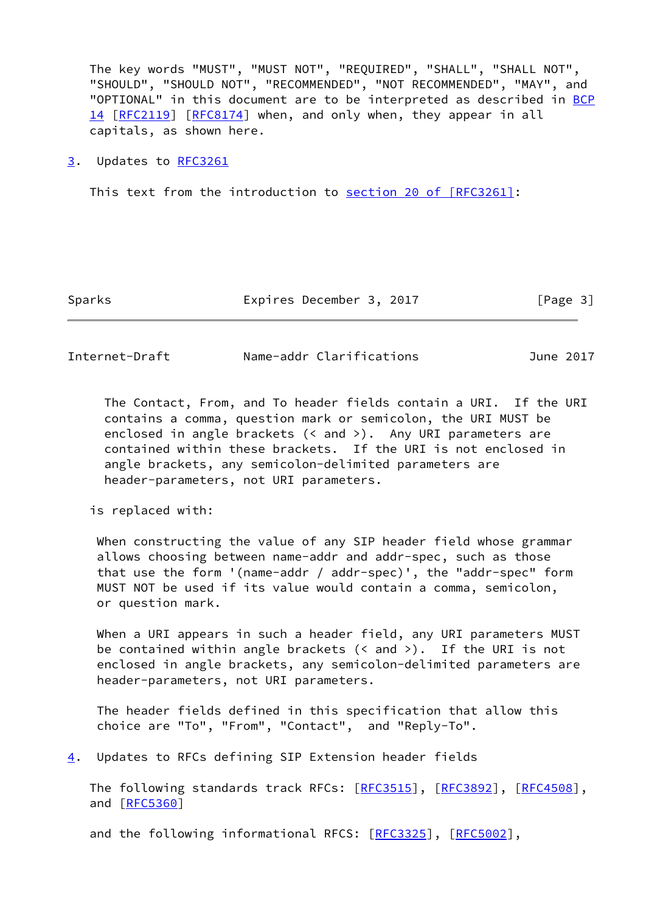The key words "MUST", "MUST NOT", "REQUIRED", "SHALL", "SHALL NOT", "SHOULD", "SHOULD NOT", "RECOMMENDED", "NOT RECOMMENDED", "MAY", and "OPTIONAL" in this document are to be interpreted as described in [BCP](https://datatracker.ietf.org/doc/pdf/bcp14) [14](https://datatracker.ietf.org/doc/pdf/bcp14) [[RFC2119\]](https://datatracker.ietf.org/doc/pdf/rfc2119) [\[RFC8174](https://datatracker.ietf.org/doc/pdf/rfc8174)] when, and only when, they appear in all capitals, as shown here.

#### <span id="page-3-0"></span>[3](#page-3-0). Updates to [RFC3261](https://datatracker.ietf.org/doc/pdf/rfc3261)

This text from the introduction to section [20 of \[RFC3261\]](https://datatracker.ietf.org/doc/pdf/rfc3261#section-20):

Sparks **Expires December 3, 2017** [Page 3]

<span id="page-3-2"></span>Internet-Draft Name-addr Clarifications June 2017

 The Contact, From, and To header fields contain a URI. If the URI contains a comma, question mark or semicolon, the URI MUST be enclosed in angle brackets (< and >). Any URI parameters are contained within these brackets. If the URI is not enclosed in angle brackets, any semicolon-delimited parameters are header-parameters, not URI parameters.

is replaced with:

 When constructing the value of any SIP header field whose grammar allows choosing between name-addr and addr-spec, such as those that use the form '(name-addr / addr-spec)', the "addr-spec" form MUST NOT be used if its value would contain a comma, semicolon, or question mark.

 When a URI appears in such a header field, any URI parameters MUST be contained within angle brackets (< and >). If the URI is not enclosed in angle brackets, any semicolon-delimited parameters are header-parameters, not URI parameters.

 The header fields defined in this specification that allow this choice are "To", "From", "Contact", and "Reply-To".

<span id="page-3-1"></span>[4](#page-3-1). Updates to RFCs defining SIP Extension header fields

The following standards track RFCs: [\[RFC3515](https://datatracker.ietf.org/doc/pdf/rfc3515)], [\[RFC3892](https://datatracker.ietf.org/doc/pdf/rfc3892)], [[RFC4508](https://datatracker.ietf.org/doc/pdf/rfc4508)], and [\[RFC5360](https://datatracker.ietf.org/doc/pdf/rfc5360)]

and the following informational RFCS: [[RFC3325](https://datatracker.ietf.org/doc/pdf/rfc3325)], [\[RFC5002](https://datatracker.ietf.org/doc/pdf/rfc5002)],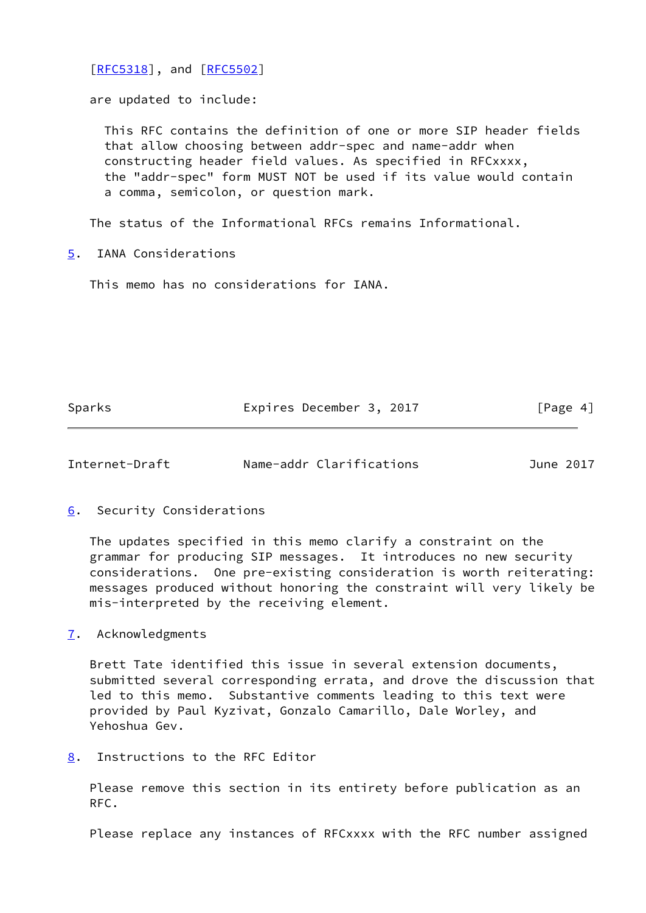[\[RFC5318](https://datatracker.ietf.org/doc/pdf/rfc5318)], and [\[RFC5502](https://datatracker.ietf.org/doc/pdf/rfc5502)]

are updated to include:

 This RFC contains the definition of one or more SIP header fields that allow choosing between addr-spec and name-addr when constructing header field values. As specified in RFCxxxx, the "addr-spec" form MUST NOT be used if its value would contain a comma, semicolon, or question mark.

The status of the Informational RFCs remains Informational.

<span id="page-4-0"></span>[5](#page-4-0). IANA Considerations

This memo has no considerations for IANA.

Sparks **Expires December 3, 2017** [Page 4]

<span id="page-4-2"></span>Internet-Draft Name-addr Clarifications June 2017

<span id="page-4-1"></span>[6](#page-4-1). Security Considerations

 The updates specified in this memo clarify a constraint on the grammar for producing SIP messages. It introduces no new security considerations. One pre-existing consideration is worth reiterating: messages produced without honoring the constraint will very likely be mis-interpreted by the receiving element.

<span id="page-4-3"></span>[7](#page-4-3). Acknowledgments

 Brett Tate identified this issue in several extension documents, submitted several corresponding errata, and drove the discussion that led to this memo. Substantive comments leading to this text were provided by Paul Kyzivat, Gonzalo Camarillo, Dale Worley, and Yehoshua Gev.

<span id="page-4-4"></span>[8](#page-4-4). Instructions to the RFC Editor

 Please remove this section in its entirety before publication as an RFC.

Please replace any instances of RFCxxxx with the RFC number assigned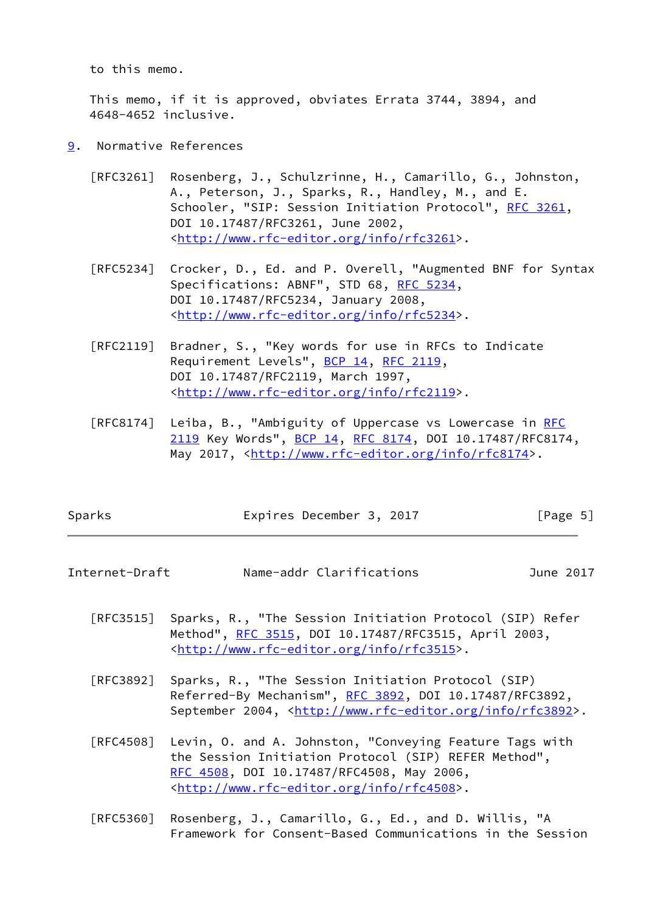to this memo.

 This memo, if it is approved, obviates Errata 3744, 3894, and 4648-4652 inclusive.

- <span id="page-5-0"></span>[9](#page-5-0). Normative References
	- [RFC3261] Rosenberg, J., Schulzrinne, H., Camarillo, G., Johnston, A., Peterson, J., Sparks, R., Handley, M., and E. Schooler, "SIP: Session Initiation Protocol", [RFC 3261](https://datatracker.ietf.org/doc/pdf/rfc3261), DOI 10.17487/RFC3261, June 2002, <<http://www.rfc-editor.org/info/rfc3261>>.
	- [RFC5234] Crocker, D., Ed. and P. Overell, "Augmented BNF for Syntax Specifications: ABNF", STD 68, [RFC 5234](https://datatracker.ietf.org/doc/pdf/rfc5234), DOI 10.17487/RFC5234, January 2008, <<http://www.rfc-editor.org/info/rfc5234>>.
	- [RFC2119] Bradner, S., "Key words for use in RFCs to Indicate Requirement Levels", [BCP 14](https://datatracker.ietf.org/doc/pdf/bcp14), [RFC 2119](https://datatracker.ietf.org/doc/pdf/rfc2119), DOI 10.17487/RFC2119, March 1997, <<http://www.rfc-editor.org/info/rfc2119>>.
	- [RFC8174] Leiba, B., "Ambiguity of Uppercase vs Lowercase in [RFC](https://datatracker.ietf.org/doc/pdf/rfc2119) [2119](https://datatracker.ietf.org/doc/pdf/rfc2119) Key Words", [BCP 14](https://datatracker.ietf.org/doc/pdf/bcp14), [RFC 8174,](https://datatracker.ietf.org/doc/pdf/rfc8174) DOI 10.17487/RFC8174, May 2017, [<http://www.rfc-editor.org/info/rfc8174](http://www.rfc-editor.org/info/rfc8174)>.

| Sparks | Expires December 3, 2017 | [Page 5] |
|--------|--------------------------|----------|
|        |                          |          |

<span id="page-5-1"></span>Internet-Draft Name-addr Clarifications June 2017

- [RFC3515] Sparks, R., "The Session Initiation Protocol (SIP) Refer Method", [RFC 3515,](https://datatracker.ietf.org/doc/pdf/rfc3515) DOI 10.17487/RFC3515, April 2003, <<http://www.rfc-editor.org/info/rfc3515>>.
- [RFC3892] Sparks, R., "The Session Initiation Protocol (SIP) Referred-By Mechanism", [RFC 3892,](https://datatracker.ietf.org/doc/pdf/rfc3892) DOI 10.17487/RFC3892, September 2004, <<http://www.rfc-editor.org/info/rfc3892>>.
- [RFC4508] Levin, O. and A. Johnston, "Conveying Feature Tags with the Session Initiation Protocol (SIP) REFER Method", [RFC 4508,](https://datatracker.ietf.org/doc/pdf/rfc4508) DOI 10.17487/RFC4508, May 2006, <<http://www.rfc-editor.org/info/rfc4508>>.
- [RFC5360] Rosenberg, J., Camarillo, G., Ed., and D. Willis, "A Framework for Consent-Based Communications in the Session